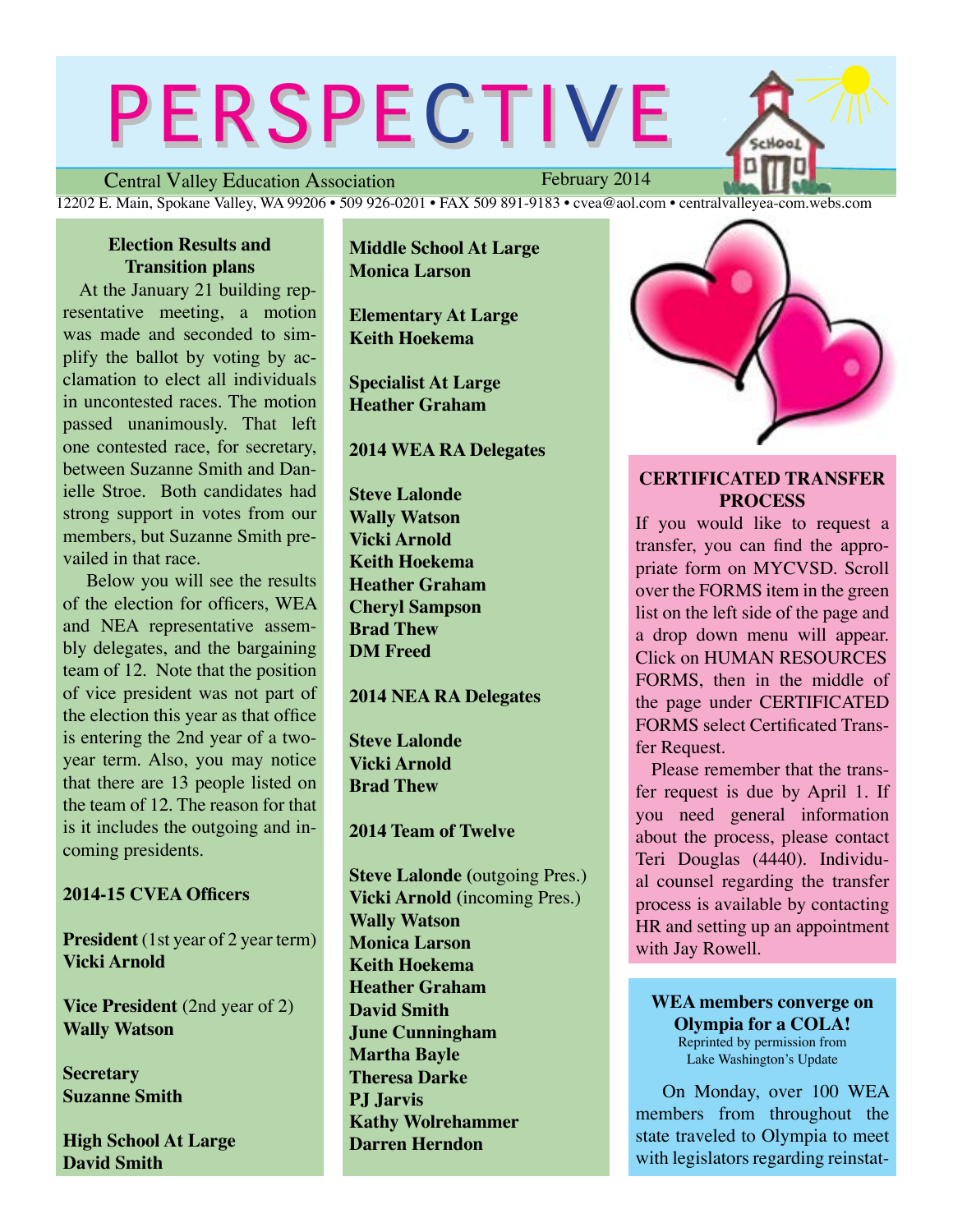# PERSPECTIVE

Central Valley Education Association 12202 E. Main, Spokane Valley, WA 99206 • 509 926-0201 • FAX 509 891-9183 • cvea@aol.com • centralvalleyea-com.webs.com

# **Election Results and Transition plans**

At the January 21 building representative meeting, a motion was made and seconded to simplify the ballot by voting by acclamation to elect all individuals in uncontested races. The motion passed unanimously. That left one contested race, for secretary, between Suzanne Smith and Danielle Stroe. Both candidates had strong support in votes from our members, but Suzanne Smith prevailed in that race.

 Below you will see the results of the election for officers, WEA and NEA representative assembly delegates, and the bargaining team of 12. Note that the position of vice president was not part of the election this year as that office is entering the 2nd year of a twoyear term. Also, you may notice that there are 13 people listed on the team of 12. The reason for that is it includes the outgoing and incoming presidents.

# **2014-15 CVEA Officers**

**President** (1st year of 2 year term) **Vicki Arnold**

**Vice President** (2nd year of 2) **Wally Watson**

**Secretary Suzanne Smith**

**High School At Large David Smith**

**Middle School At Large Monica Larson**

**Elementary At Large Keith Hoekema**

**Specialist At Large Heather Graham**

### **2014 WEA RA Delegates**

**Steve Lalonde Wally Watson Vicki Arnold Keith Hoekema Heather Graham Cheryl Sampson Brad Thew DM Freed**

## **2014 NEA RA Delegates**

**Steve Lalonde Vicki Arnold Brad Thew**

**2014 Team of Twelve**

**Steve Lalonde (**outgoing Pres.) **Vicki Arnold (**incoming Pres.) **Wally Watson Monica Larson Keith Hoekema Heather Graham David Smith June Cunningham Martha Bayle Theresa Darke PJ Jarvis Kathy Wolrehammer Darren Herndon**



# **CERTIFICATED TRANSFER PROCESS**

If you would like to request a transfer, you can find the appropriate form on MYCVSD. Scroll over the FORMS item in the green list on the left side of the page and a drop down menu will appear. Click on HUMAN RESOURCES FORMS, then in the middle of the page under CERTIFICATED FORMS select Certificated Transfer Request.

 Please remember that the transfer request is due by April 1. If you need general information about the process, please contact Teri Douglas (4440). Individual counsel regarding the transfer process is available by contacting HR and setting up an appointment with Jay Rowell.

**WEA members converge on Olympia for a COLA!** Reprinted by permission from Lake Washington's Update

On Monday, over 100 WEA members from throughout the state traveled to Olympia to meet with legislators regarding reinstat-

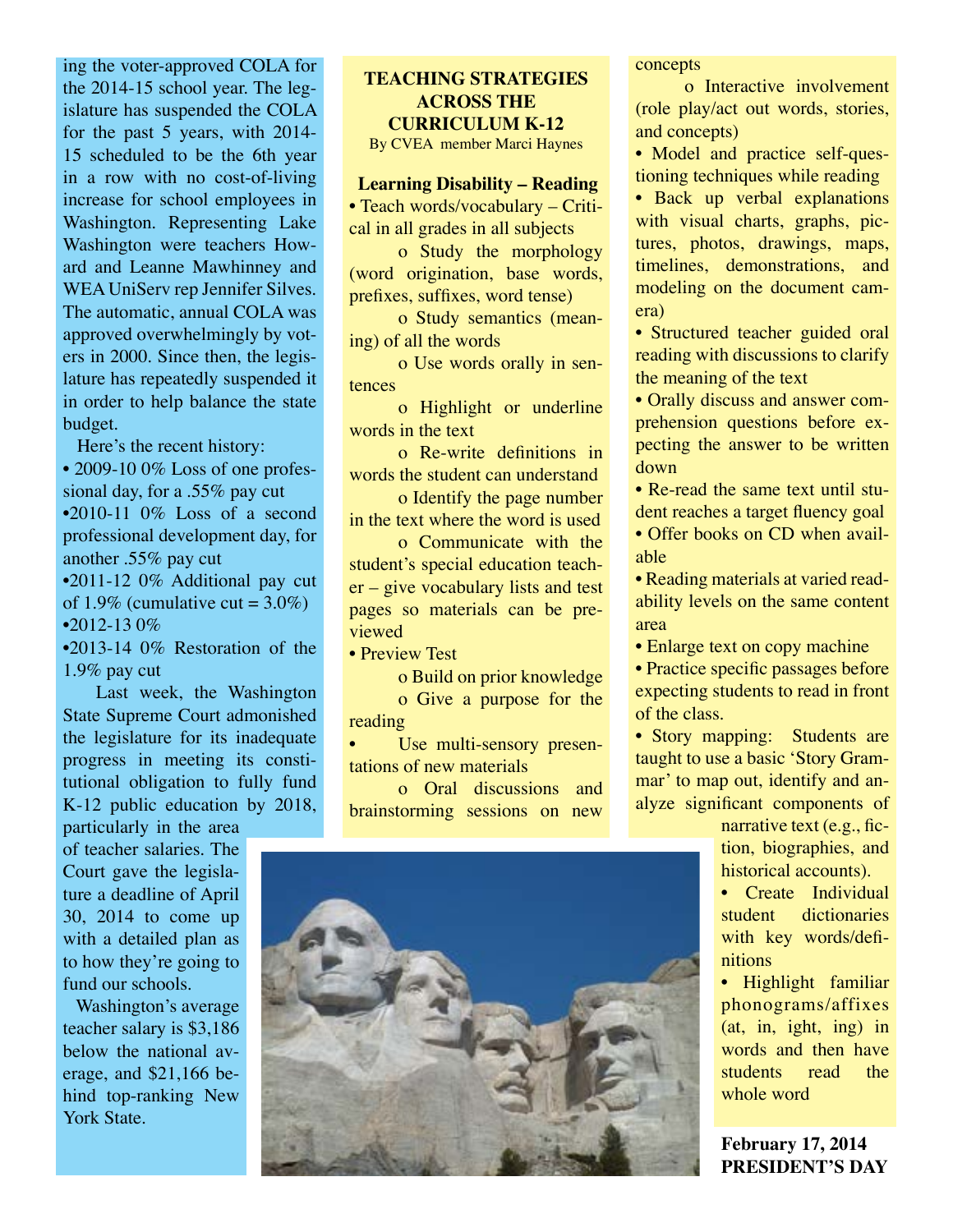ing the voter-approved COLA for the 2014-15 school year. The legislature has suspended the COLA for the past 5 years, with 2014- 15 scheduled to be the 6th year in a row with no cost-of-living increase for school employees in Washington. Representing Lake Washington were teachers Howard and Leanne Mawhinney and WEA UniServ rep Jennifer Silves. The automatic, annual COLA was approved overwhelmingly by voters in 2000. Since then, the legislature has repeatedly suspended it in order to help balance the state budget.

Here's the recent history:

• 2009-10 0% Loss of one professional day, for a .55% pay cut  $\cdot$ 2010-11 0% Loss of a second professional development day, for another .55% pay cut •2011-12 0% Additional pay cut of 1.9% (cumulative cut =  $3.0\%$ )  $•2012 - 130\%$ 

•2013-14 0% Restoration of the 1.9% pay cut

 Last week, the Washington State Supreme Court admonished the legislature for its inadequate progress in meeting its constitutional obligation to fully fund K-12 public education by 2018, particularly in the area

of teacher salaries. The Court gave the legislature a deadline of April 30, 2014 to come up with a detailed plan as to how they're going to fund our schools.

 Washington's average teacher salary is \$3,186 below the national average, and \$21,166 behind top-ranking New York State.

# **TEACHING STRATEGIES ACROSS THE CURRICULUM K-12**

By CVEA member Marci Haynes

### **Learning Disability – Reading**

• Teach words/vocabulary – Critical in all grades in all subjects

o Study the morphology (word origination, base words, prefixes, suffixes, word tense)

o Study semantics (meaning) of all the words

o Use words orally in sentences

o Highlight or underline words in the text

o Re-write definitions in words the student can understand

o Identify the page number in the text where the word is used

o Communicate with the student's special education teacher – give vocabulary lists and test pages so materials can be previewed

• Preview Test

o Build on prior knowledge o Give a purpose for the reading

Use multi-sensory presentations of new materials

o Oral discussions and brainstorming sessions on new

concepts

o Interactive involvement (role play/act out words, stories, and concepts)

• Model and practice self-questioning techniques while reading

• Back up verbal explanations with visual charts, graphs, pictures, photos, drawings, maps, timelines, demonstrations, and modeling on the document camera)

• Structured teacher guided oral reading with discussions to clarify the meaning of the text

• Orally discuss and answer comprehension questions before expecting the answer to be written down

• Re-read the same text until student reaches a target fluency goal

• Offer books on CD when available

• Reading materials at varied readability levels on the same content area

• Enlarge text on copy machine

• Practice specific passages before expecting students to read in front of the class.

• Story mapping: Students are taught to use a basic 'Story Grammar' to map out, identify and analyze significant components of

narrative text (e.g., fiction, biographies, and historical accounts).

• Create Individual student dictionaries with key words/definitions

• Highlight familiar phonograms/affixes (at, in, ight, ing) in words and then have students read the whole word

**February 17, 2014 PRESIDENT'S DAY**

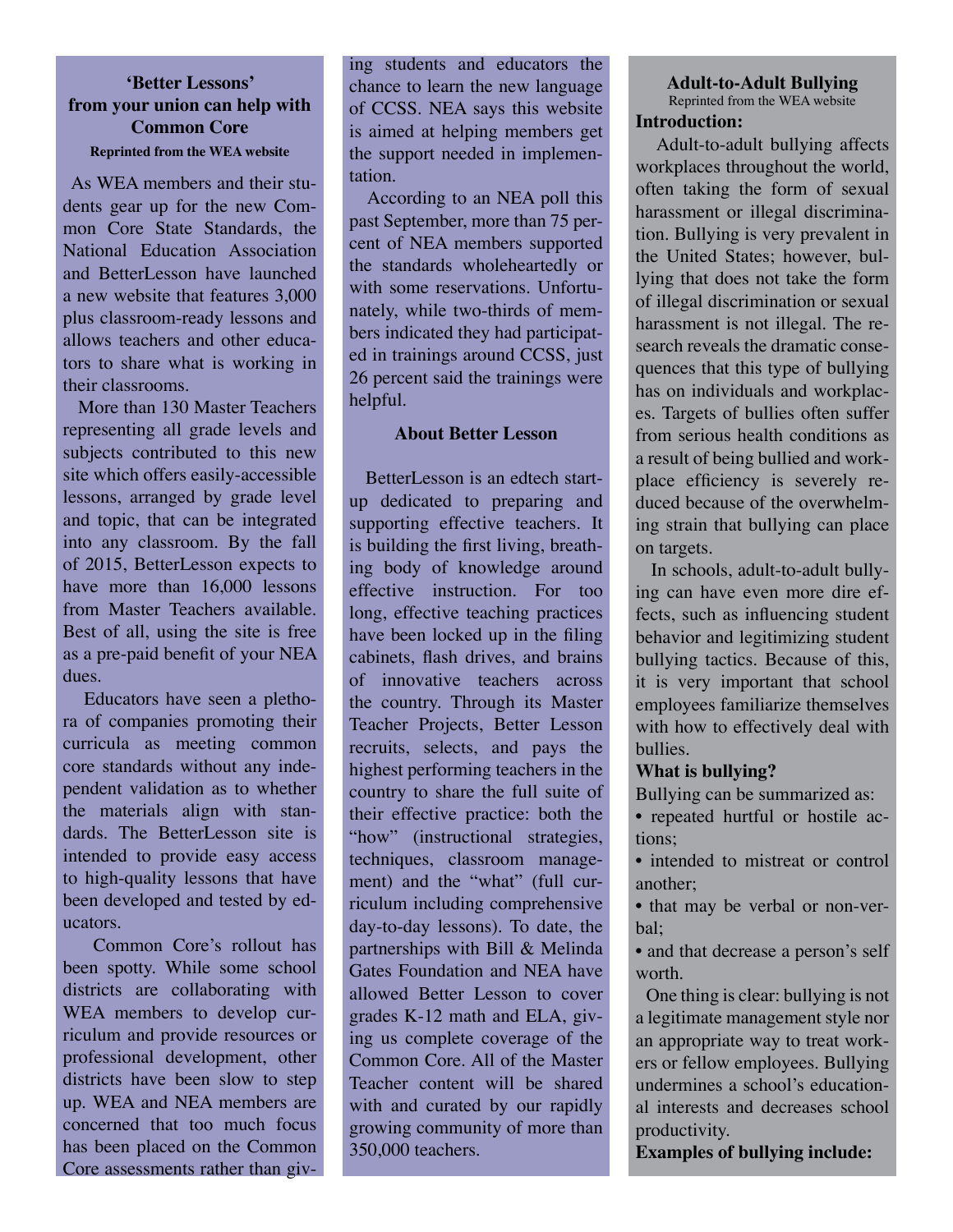# **'Better Lessons' from your union can help with Common Core Reprinted from the WEA website**

 As WEA members and their students gear up for the new Common Core State Standards, the National Education Association and BetterLesson have launched a new website that features 3,000 plus classroom-ready lessons and allows teachers and other educators to share what is working in their classrooms.

 More than 130 Master Teachers representing all grade levels and subjects contributed to this new site which offers easily-accessible lessons, arranged by grade level and topic, that can be integrated into any classroom. By the fall of 2015, BetterLesson expects to have more than 16,000 lessons from Master Teachers available. Best of all, using the site is free as a pre-paid benefit of your NEA dues.

 Educators have seen a plethora of companies promoting their curricula as meeting common core standards without any independent validation as to whether the materials align with standards. The BetterLesson site is intended to provide easy access to high-quality lessons that have been developed and tested by educators.

 Common Core's rollout has been spotty. While some school districts are collaborating with WEA members to develop curriculum and provide resources or professional development, other districts have been slow to step up. WEA and NEA members are concerned that too much focus has been placed on the Common Core assessments rather than giv-

ing students and educators the chance to learn the new language of CCSS. NEA says this website is aimed at helping members get the support needed in implementation.

 According to an NEA poll this past September, more than 75 percent of NEA members supported the standards wholeheartedly or with some reservations. Unfortunately, while two-thirds of members indicated they had participated in trainings around CCSS, just 26 percent said the trainings were helpful.

### **About Better Lesson**

 BetterLesson is an edtech startup dedicated to preparing and supporting effective teachers. It is building the first living, breathing body of knowledge around effective instruction. For too long, effective teaching practices have been locked up in the filing cabinets, flash drives, and brains of innovative teachers across the country. Through its Master Teacher Projects, Better Lesson recruits, selects, and pays the highest performing teachers in the country to share the full suite of their effective practice: both the "how" (instructional strategies, techniques, classroom management) and the "what" (full curriculum including comprehensive day-to-day lessons). To date, the partnerships with Bill & Melinda Gates Foundation and NEA have allowed Better Lesson to cover grades K-12 math and ELA, giving us complete coverage of the Common Core. All of the Master Teacher content will be shared with and curated by our rapidly growing community of more than 350,000 teachers.

### **Adult-to-Adult Bullying** Reprinted from the WEA website **Introduction:**

 Adult-to-adult bullying affects workplaces throughout the world, often taking the form of sexual harassment or illegal discrimination. Bullying is very prevalent in the United States; however, bullying that does not take the form of illegal discrimination or sexual harassment is not illegal. The research reveals the dramatic consequences that this type of bullying has on individuals and workplaces. Targets of bullies often suffer from serious health conditions as a result of being bullied and workplace efficiency is severely reduced because of the overwhelming strain that bullying can place on targets.

 In schools, adult-to-adult bullying can have even more dire effects, such as influencing student behavior and legitimizing student bullying tactics. Because of this, it is very important that school employees familiarize themselves with how to effectively deal with bullies.

### **What is bullying?**

- Bullying can be summarized as:
- repeated hurtful or hostile actions;
- intended to mistreat or control another;
- that may be verbal or non-verbal;
- and that decrease a person's self worth.

 One thing is clear: bullying is not a legitimate management style nor an appropriate way to treat workers or fellow employees. Bullying undermines a school's educational interests and decreases school productivity.

**Examples of bullying include:**